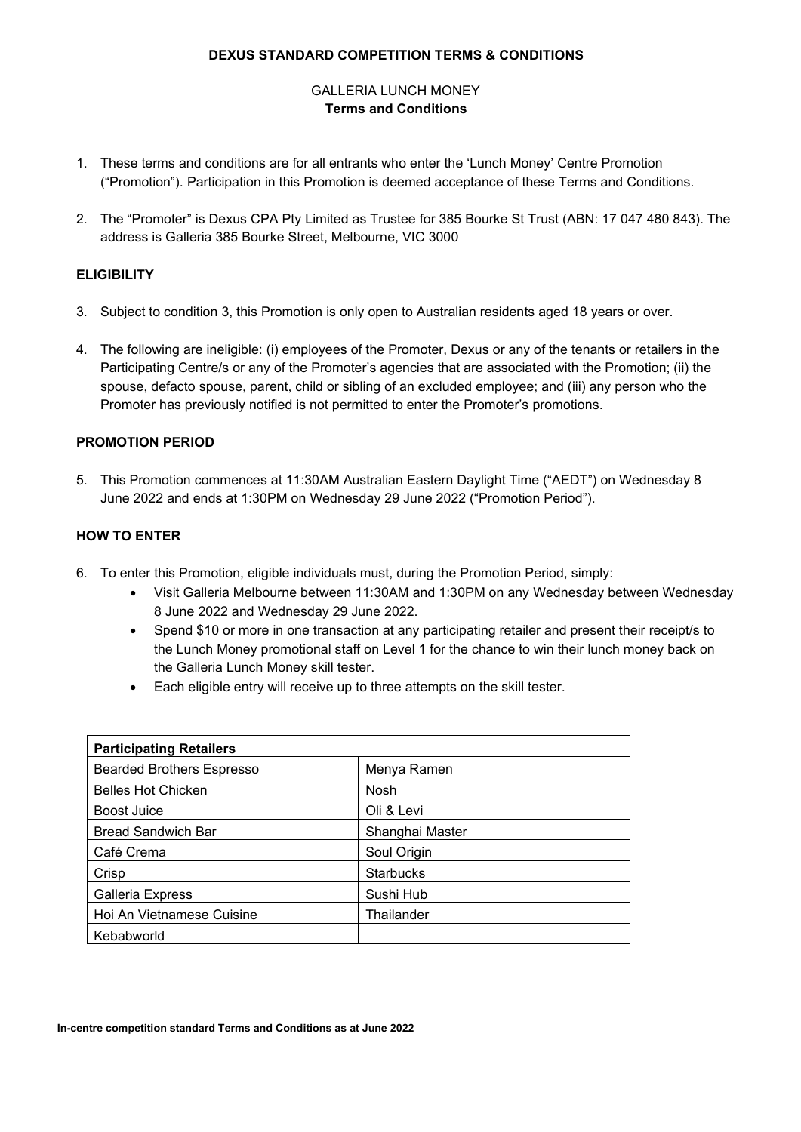### **DEXUS STANDARD COMPETITION TERMS & CONDITIONS**

# GALLERIA LUNCH MONEY **Terms and Conditions**

- 1. These terms and conditions are for all entrants who enter the 'Lunch Money' Centre Promotion ("Promotion"). Participation in this Promotion is deemed acceptance of these Terms and Conditions.
- 2. The "Promoter" is Dexus CPA Pty Limited as Trustee for 385 Bourke St Trust (ABN: 17 047 480 843). The address is Galleria 385 Bourke Street, Melbourne, VIC 3000

# **ELIGIBILITY**

- 3. Subject to condition 3, this Promotion is only open to Australian residents aged 18 years or over.
- 4. The following are ineligible: (i) employees of the Promoter, Dexus or any of the tenants or retailers in the Participating Centre/s or any of the Promoter's agencies that are associated with the Promotion; (ii) the spouse, defacto spouse, parent, child or sibling of an excluded employee; and (iii) any person who the Promoter has previously notified is not permitted to enter the Promoter's promotions.

## **PROMOTION PERIOD**

5. This Promotion commences at 11:30AM Australian Eastern Daylight Time ("AEDT") on Wednesday 8 June 2022 and ends at 1:30PM on Wednesday 29 June 2022 ("Promotion Period").

# **HOW TO ENTER**

- 6. To enter this Promotion, eligible individuals must, during the Promotion Period, simply:
	- Visit Galleria Melbourne between 11:30AM and 1:30PM on any Wednesday between Wednesday 8 June 2022 and Wednesday 29 June 2022.
	- Spend \$10 or more in one transaction at any participating retailer and present their receipt/s to the Lunch Money promotional staff on Level 1 for the chance to win their lunch money back on the Galleria Lunch Money skill tester.
	- Each eligible entry will receive up to three attempts on the skill tester.

| <b>Participating Retailers</b>   |                  |  |  |  |
|----------------------------------|------------------|--|--|--|
| <b>Bearded Brothers Espresso</b> | Menya Ramen      |  |  |  |
| <b>Belles Hot Chicken</b>        | <b>Nosh</b>      |  |  |  |
| <b>Boost Juice</b>               | Oli & Levi       |  |  |  |
| <b>Bread Sandwich Bar</b>        | Shanghai Master  |  |  |  |
| Café Crema                       | Soul Origin      |  |  |  |
| Crisp                            | <b>Starbucks</b> |  |  |  |
| Galleria Express                 | Sushi Hub        |  |  |  |
| Hoi An Vietnamese Cuisine        | Thailander       |  |  |  |
| Kebabworld                       |                  |  |  |  |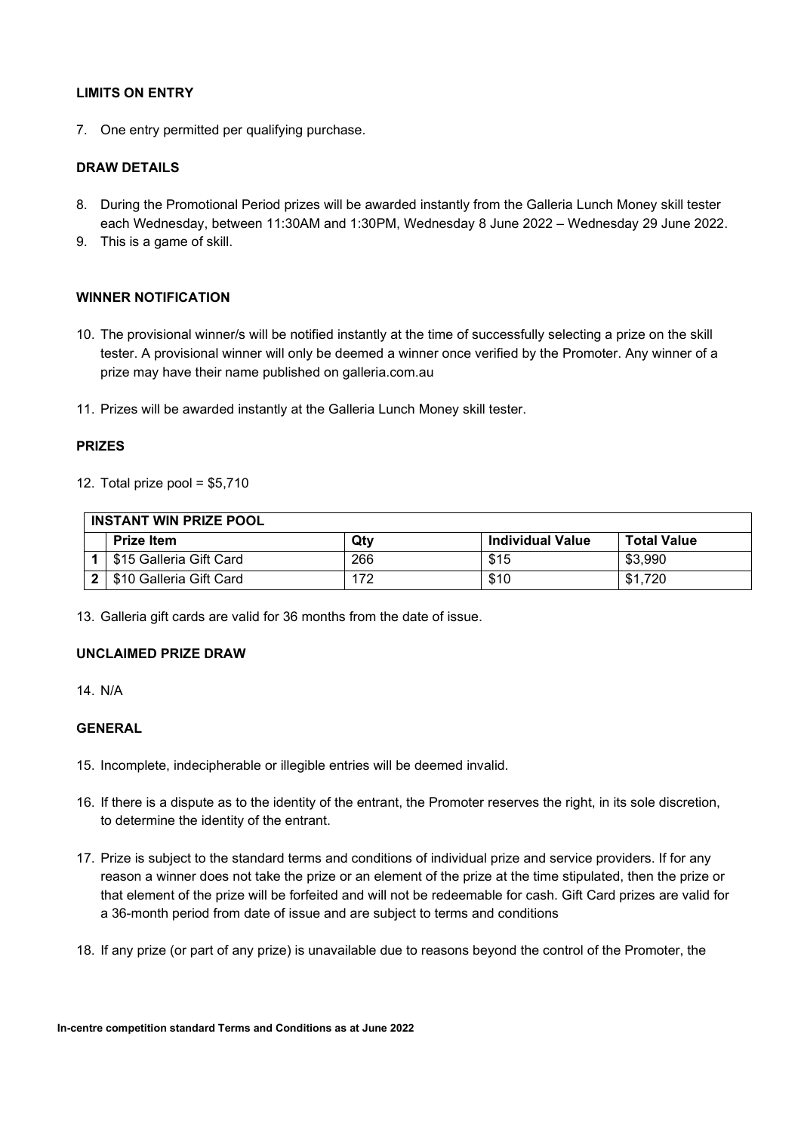# **LIMITS ON ENTRY**

7. One entry permitted per qualifying purchase.

# **DRAW DETAILS**

- 8. During the Promotional Period prizes will be awarded instantly from the Galleria Lunch Money skill tester each Wednesday, between 11:30AM and 1:30PM, Wednesday 8 June 2022 – Wednesday 29 June 2022.
- 9. This is a game of skill.

## **WINNER NOTIFICATION**

- 10. The provisional winner/s will be notified instantly at the time of successfully selecting a prize on the skill tester. A provisional winner will only be deemed a winner once verified by the Promoter. Any winner of a prize may have their name published on galleria.com.au
- 11. Prizes will be awarded instantly at the Galleria Lunch Money skill tester.

#### **PRIZES**

12. Total prize pool = \$5,710

| <b>INSTANT WIN PRIZE POOL</b> |                         |     |                         |                    |
|-------------------------------|-------------------------|-----|-------------------------|--------------------|
|                               | <b>Prize Item</b>       | Qty | <b>Individual Value</b> | <b>Total Value</b> |
|                               | \$15 Galleria Gift Card | 266 | \$15                    | \$3,990            |
|                               | \$10 Galleria Gift Card | 172 | \$10                    | \$1.720            |

13. Galleria gift cards are valid for 36 months from the date of issue.

## **UNCLAIMED PRIZE DRAW**

14. N/A

# **GENERAL**

- 15. Incomplete, indecipherable or illegible entries will be deemed invalid.
- 16. If there is a dispute as to the identity of the entrant, the Promoter reserves the right, in its sole discretion, to determine the identity of the entrant.
- 17. Prize is subject to the standard terms and conditions of individual prize and service providers. If for any reason a winner does not take the prize or an element of the prize at the time stipulated, then the prize or that element of the prize will be forfeited and will not be redeemable for cash. Gift Card prizes are valid for a 36-month period from date of issue and are subject to terms and conditions
- 18. If any prize (or part of any prize) is unavailable due to reasons beyond the control of the Promoter, the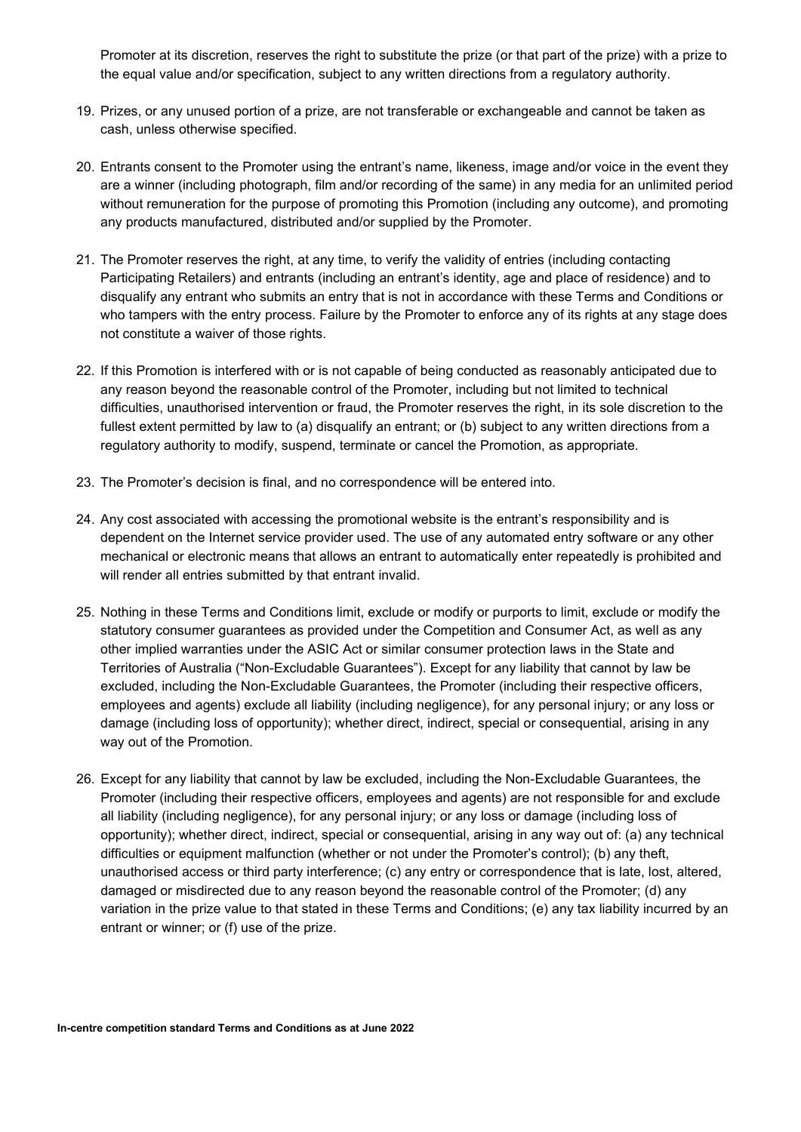Promoter at its discretion, reserves the right to substitute the prize (or that part of the prize) with a prize to the equal value and/or specification, subject to any written directions from a regulatory authority.

- 19. Prizes, or any unused portion of a prize, are not transferable or exchangeable and cannot be taken as cash, unless otherwise specified.
- 20. Entrants consent to the Promoter using the entrant's name, likeness, image and/or voice in the event they are a winner (including photograph, film and/or recording of the same) in any media for an unlimited period without remuneration for the purpose of promoting this Promotion (including any outcome), and promoting any products manufactured, distributed and/or supplied by the Promoter.
- 21. The Promoter reserves the right, at any time, to verify the validity of entries (including contacting Participating Retailers) and entrants (including an entrant's identity, age and place of residence) and to disqualify any entrant who submits an entry that is not in accordance with these Terms and Conditions or who tampers with the entry process. Failure by the Promoter to enforce any of its rights at any stage does not constitute a waiver of those rights.
- 22. If this Promotion is interfered with or is not capable of being conducted as reasonably anticipated due to any reason beyond the reasonable control of the Promoter, including but not limited to technical difficulties, unauthorised intervention or fraud, the Promoter reserves the right, in its sole discretion to the fullest extent permitted by law to (a) disqualify an entrant; or (b) subject to any written directions from a regulatory authority to modify, suspend, terminate or cancel the Promotion, as appropriate.
- 23. The Promoter's decision is final, and no correspondence will be entered into.
- 24. Any cost associated with accessing the promotional website is the entrant's responsibility and is dependent on the Internet service provider used. The use of any automated entry software or any other mechanical or electronic means that allows an entrant to automatically enter repeatedly is prohibited and will render all entries submitted by that entrant invalid.
- 25. Nothing in these Terms and Conditions limit, exclude or modify or purports to limit, exclude or modify the statutory consumer guarantees as provided under the Competition and Consumer Act, as well as any other implied warranties under the ASIC Act or similar consumer protection laws in the State and Territories of Australia ("Non-Excludable Guarantees"). Except for any liability that cannot by law be excluded, including the Non-Excludable Guarantees, the Promoter (including their respective officers, employees and agents) exclude all liability (including negligence), for any personal injury; or any loss or damage (including loss of opportunity); whether direct, indirect, special or consequential, arising in any way out of the Promotion.
- 26. Except for any liability that cannot by law be excluded, including the Non-Excludable Guarantees, the Promoter (including their respective officers, employees and agents) are not responsible for and exclude all liability (including negligence), for any personal injury; or any loss or damage (including loss of opportunity); whether direct, indirect, special or consequential, arising in any way out of: (a) any technical difficulties or equipment malfunction (whether or not under the Promoter's control); (b) any theft, unauthorised access or third party interference; (c) any entry or correspondence that is late, lost, altered, damaged or misdirected due to any reason beyond the reasonable control of the Promoter; (d) any variation in the prize value to that stated in these Terms and Conditions; (e) any tax liability incurred by an entrant or winner; or (f) use of the prize.